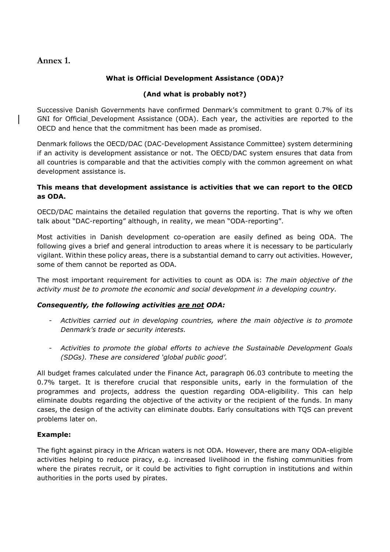# **Annex 1.**

# **What is Official Development Assistance (ODA)?**

## **(And what is probably not?)**

Successive Danish Governments have confirmed Denmark's commitment to grant 0.7% of its GNI for Official Development Assistance (ODA). Each year, the activities are reported to the OECD and hence that the commitment has been made as promised.

Denmark follows the OECD/DAC (DAC-Development Assistance Committee) system determining if an activity is development assistance or not. The OECD/DAC system ensures that data from all countries is comparable and that the activities comply with the common agreement on what development assistance is.

### **This means that development assistance is activities that we can report to the OECD as ODA.**

OECD/DAC maintains the detailed regulation that governs the reporting. That is why we often talk about "DAC-reporting" although, in reality, we mean "ODA-reporting".

Most activities in Danish development co-operation are easily defined as being ODA. The following gives a brief and general introduction to areas where it is necessary to be particularly vigilant. Within these policy areas, there is a substantial demand to carry out activities. However, some of them cannot be reported as ODA.

The most important requirement for activities to count as ODA is: *The main objective of the activity must be to promote the economic and social development in a developing country.*

#### *Consequently, the following activities are not ODA:*

- *Activities carried out in developing countries, where the main objective is to promote Denmark's trade or security interests.*
- *Activities to promote the global efforts to achieve the Sustainable Development Goals (SDGs). These are considered 'global public good'.*

All budget frames calculated under the Finance Act, paragraph 06.03 contribute to meeting the 0.7% target. It is therefore crucial that responsible units, early in the formulation of the programmes and projects, address the question regarding ODA-eligibility. This can help eliminate doubts regarding the objective of the activity or the recipient of the funds. In many cases, the design of the activity can eliminate doubts. Early consultations with TQS can prevent problems later on.

#### **Example:**

The fight against piracy in the African waters is not ODA. However, there are many ODA-eligible activities helping to reduce piracy, e.g. increased livelihood in the fishing communities from where the pirates recruit, or it could be activities to fight corruption in institutions and within authorities in the ports used by pirates.